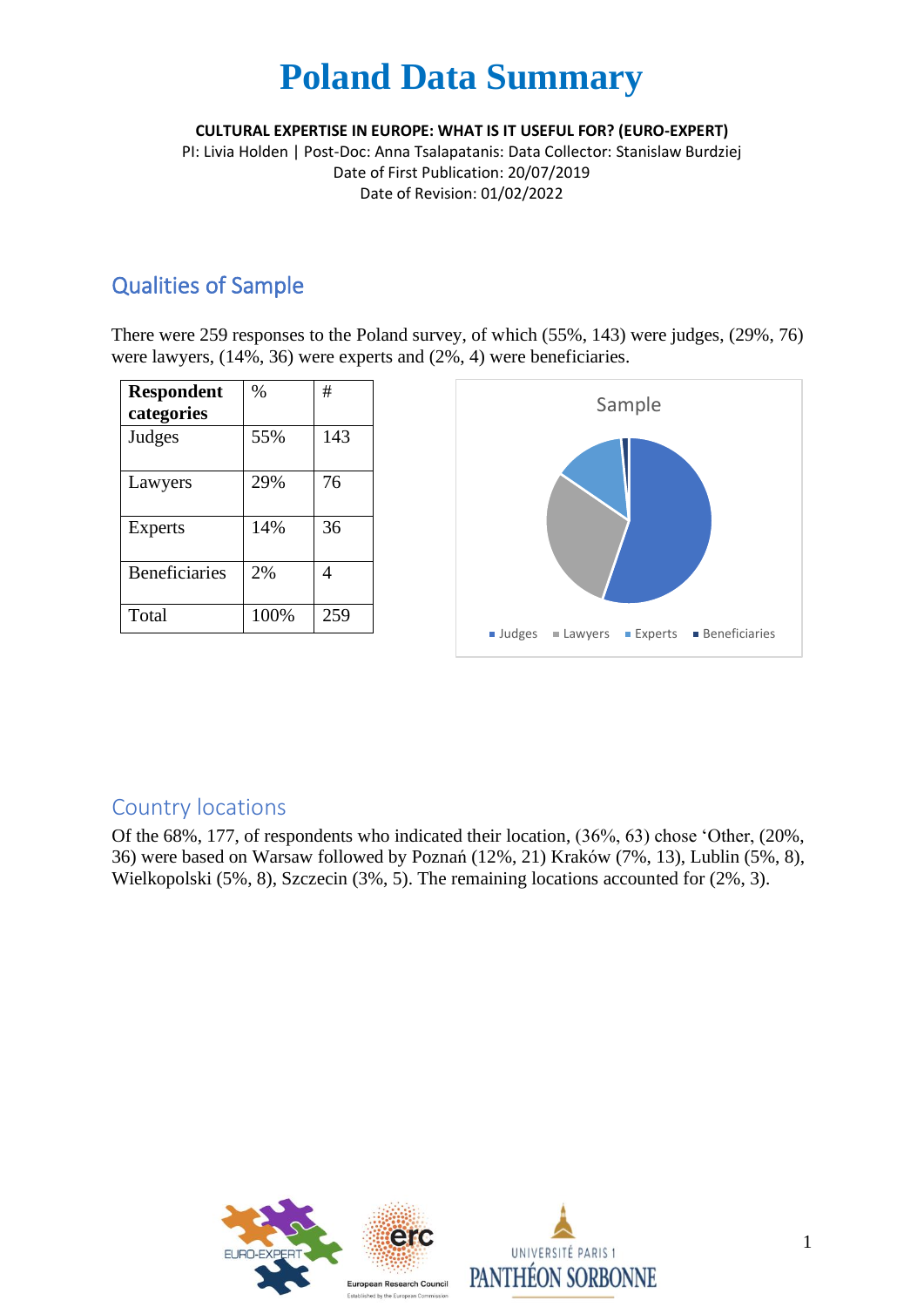**CULTURAL EXPERTISE IN EUROPE: WHAT IS IT USEFUL FOR? (EURO-EXPERT)**

PI: Livia Holden | Post-Doc: Anna Tsalapatanis: Data Collector: Stanislaw Burdziej Date of First Publication: 20/07/2019 Date of Revision: 01/02/2022

### Qualities of Sample

There were 259 responses to the Poland survey, of which (55%, 143) were judges, (29%, 76) were lawyers, (14%, 36) were experts and (2%, 4) were beneficiaries.

| <b>Respondent</b><br>categories | $\%$ | #   |
|---------------------------------|------|-----|
| Judges                          | 55%  | 143 |
| Lawyers                         | 29%  | 76  |
| Experts                         | 14%  | 36  |
| <b>Beneficiaries</b>            | 2%   | 4   |
| Total                           | 100% | 259 |



### Country locations

Of the 68%, 177, of respondents who indicated their location, (36%, 63) chose 'Other, (20%, 36) were based on Warsaw followed by Poznań (12%, 21) Kraków (7%, 13), Lublin (5%, 8), Wielkopolski (5%, 8), Szczecin (3%, 5). The remaining locations accounted for (2%, 3).

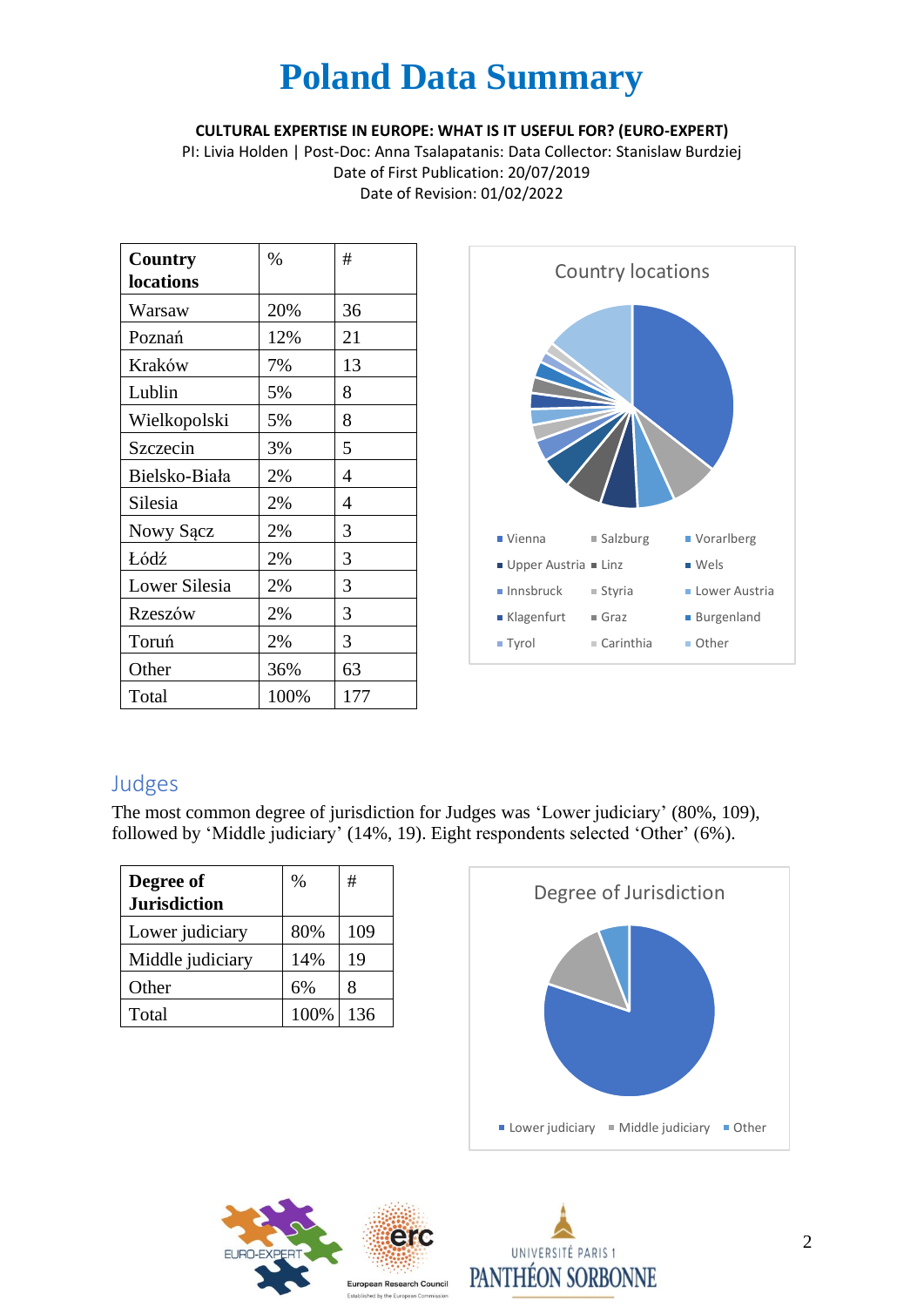#### **CULTURAL EXPERTISE IN EUROPE: WHAT IS IT USEFUL FOR? (EURO-EXPERT)**

PI: Livia Holden | Post-Doc: Anna Tsalapatanis: Data Collector: Stanislaw Burdziej Date of First Publication: 20/07/2019 Date of Revision: 01/02/2022

| <b>Country</b> | $\%$ | #   |
|----------------|------|-----|
| locations      |      |     |
| Warsaw         | 20%  | 36  |
| Poznań         | 12%  | 21  |
| Kraków         | 7%   | 13  |
| Lublin         | 5%   | 8   |
| Wielkopolski   | 5%   | 8   |
| Szczecin       | 3%   | 5   |
| Bielsko-Biała  | 2%   | 4   |
| Silesia        | 2%   | 4   |
| Nowy Sącz      | 2%   | 3   |
| Łódź           | 2%   | 3   |
| Lower Silesia  | 2%   | 3   |
| Rzeszów        | 2%   | 3   |
| Toruń          | 2%   | 3   |
| Other          | 36%  | 63  |
| Total          | 100% | 177 |



### Judges

The most common degree of jurisdiction for Judges was 'Lower judiciary' (80%, 109), followed by 'Middle judiciary' (14%, 19). Eight respondents selected 'Other' (6%).

| Degree of           | $\%$ | #   |
|---------------------|------|-----|
| <b>Jurisdiction</b> |      |     |
| Lower judiciary     | 80%  | 109 |
| Middle judiciary    | 14%  | 19  |
| Other               | 6%   | x   |
| Total               | 100% | 136 |





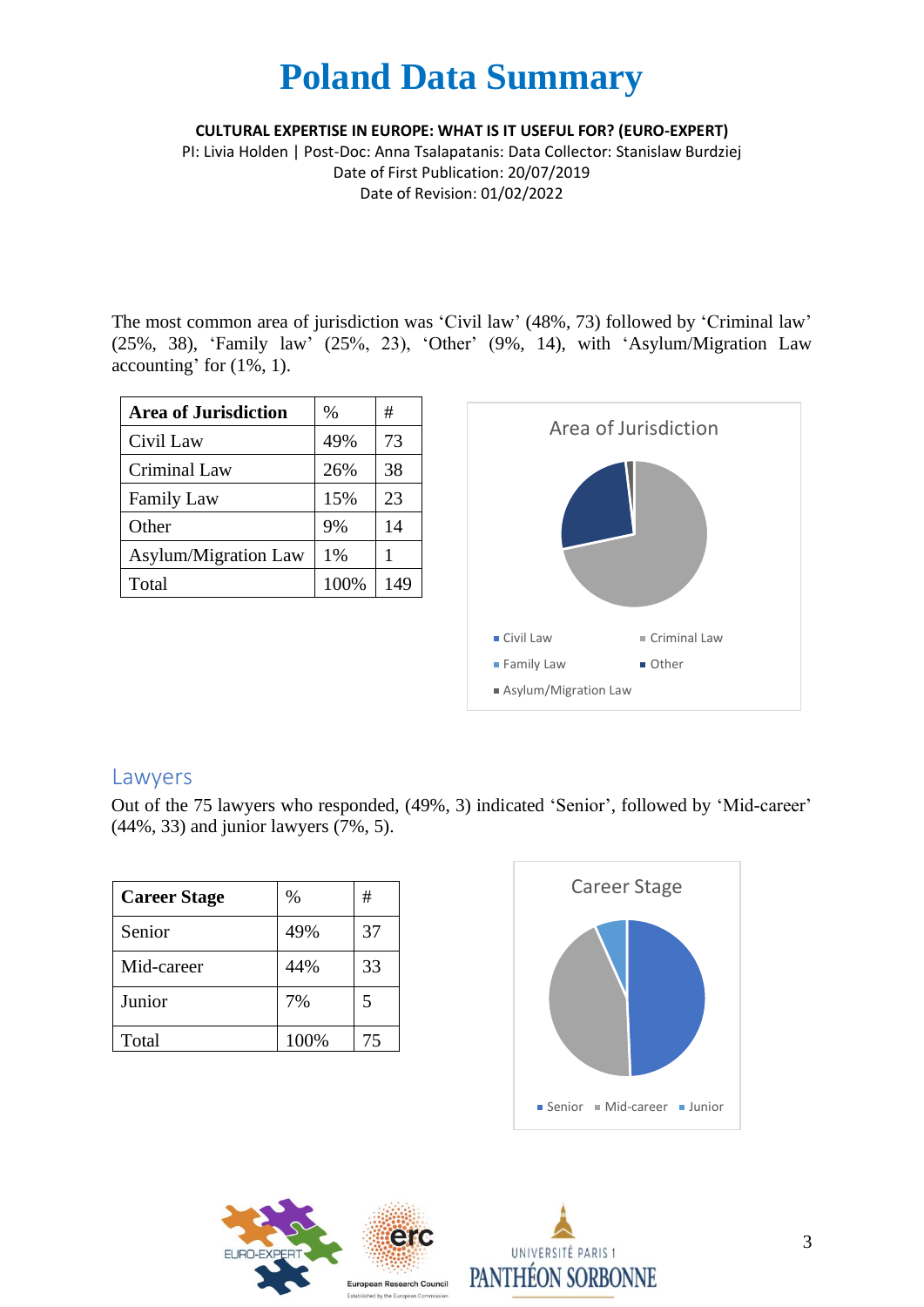**CULTURAL EXPERTISE IN EUROPE: WHAT IS IT USEFUL FOR? (EURO-EXPERT)**

PI: Livia Holden | Post-Doc: Anna Tsalapatanis: Data Collector: Stanislaw Burdziej Date of First Publication: 20/07/2019 Date of Revision: 01/02/2022

The most common area of jurisdiction was 'Civil law' (48%, 73) followed by 'Criminal law' (25%, 38), 'Family law' (25%, 23), 'Other' (9%, 14), with 'Asylum/Migration Law accounting' for (1%, 1).

| <b>Area of Jurisdiction</b> | $\%$ | #   |
|-----------------------------|------|-----|
| Civil Law                   | 49%  | 73  |
| Criminal Law                | 26%  | 38  |
| <b>Family Law</b>           | 15%  | 23  |
| Other                       | 9%   | 14  |
| <b>Asylum/Migration Law</b> | 1%   |     |
| Total                       | 100% | 149 |



#### Lawyers

Out of the 75 lawyers who responded, (49%, 3) indicated 'Senior', followed by 'Mid-career' (44%, 33) and junior lawyers (7%, 5).

| <b>Career Stage</b> | $\%$ | #  |
|---------------------|------|----|
| Senior              | 49%  | 37 |
| Mid-career          | 44%  | 33 |
| Junior              | 7%   | 5  |
| Total               | 100% | 75 |





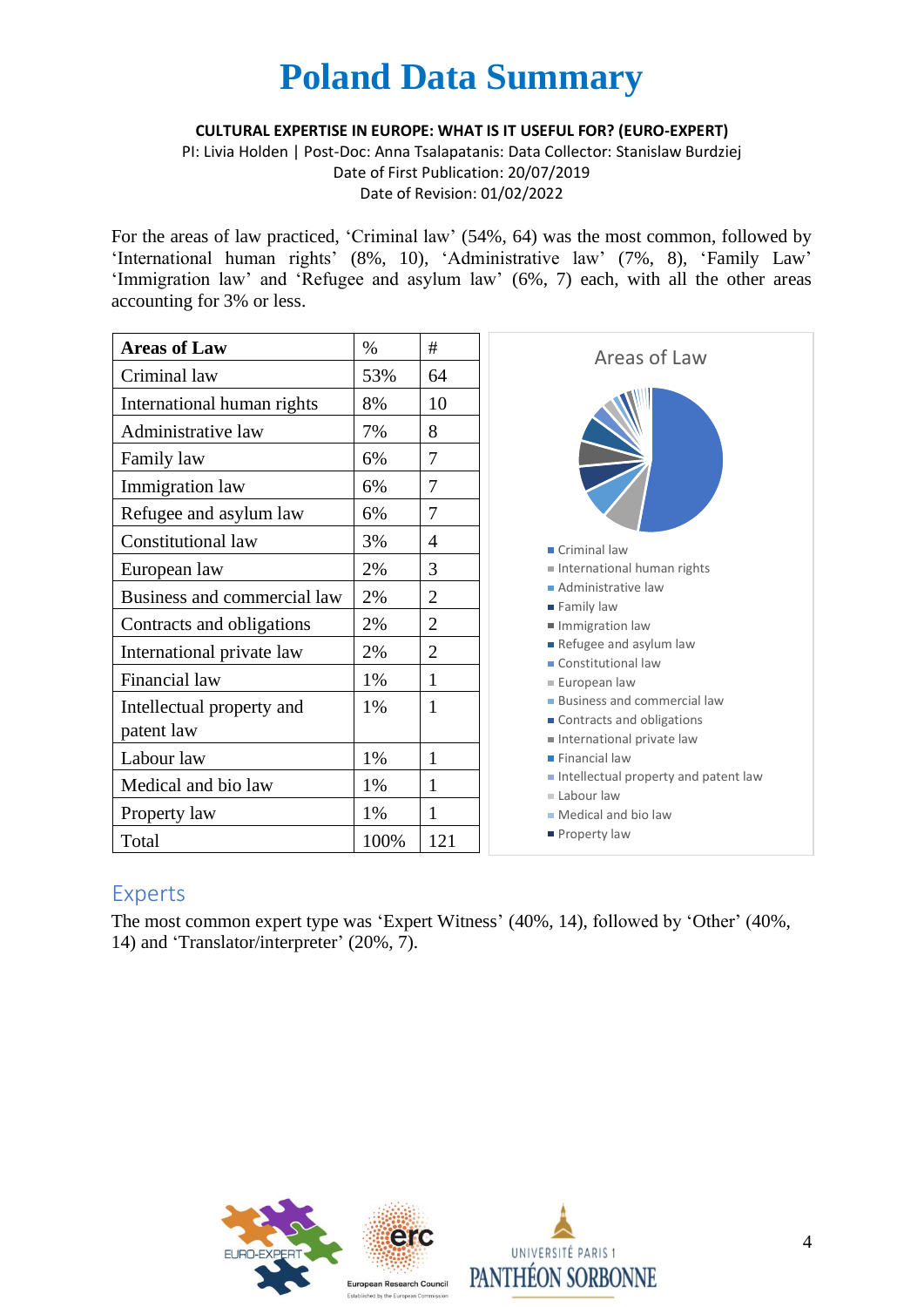**CULTURAL EXPERTISE IN EUROPE: WHAT IS IT USEFUL FOR? (EURO-EXPERT)**

PI: Livia Holden | Post-Doc: Anna Tsalapatanis: Data Collector: Stanislaw Burdziej Date of First Publication: 20/07/2019 Date of Revision: 01/02/2022

For the areas of law practiced, 'Criminal law' (54%, 64) was the most common, followed by 'International human rights' (8%, 10), 'Administrative law' (7%, 8), 'Family Law' 'Immigration law' and 'Refugee and asylum law' (6%, 7) each, with all the other areas accounting for 3% or less.

| <b>Areas of Law</b>         | $\%$ | #              |
|-----------------------------|------|----------------|
| Criminal law                | 53%  | 64             |
| International human rights  | 8%   | 10             |
| Administrative law          | 7%   | 8              |
| Family law                  | 6%   | 7              |
| Immigration law             | 6%   | 7              |
| Refugee and asylum law      | 6%   | 7              |
| <b>Constitutional law</b>   | 3%   | 4              |
| European law                | 2%   | 3              |
| Business and commercial law | 2%   | $\overline{2}$ |
| Contracts and obligations   | 2%   | $\overline{2}$ |
| International private law   | 2%   | $\overline{2}$ |
| Financial law               | 1%   | 1              |
| Intellectual property and   | 1%   | 1              |
| patent law                  |      |                |
| Labour law                  | 1%   | 1              |
| Medical and bio law         | 1%   | 1              |
| Property law                | 1%   | 1              |
| Total                       | 100% | 121            |



### Experts

The most common expert type was 'Expert Witness' (40%, 14), followed by 'Other' (40%, 14) and 'Translator/interpreter' (20%, 7).



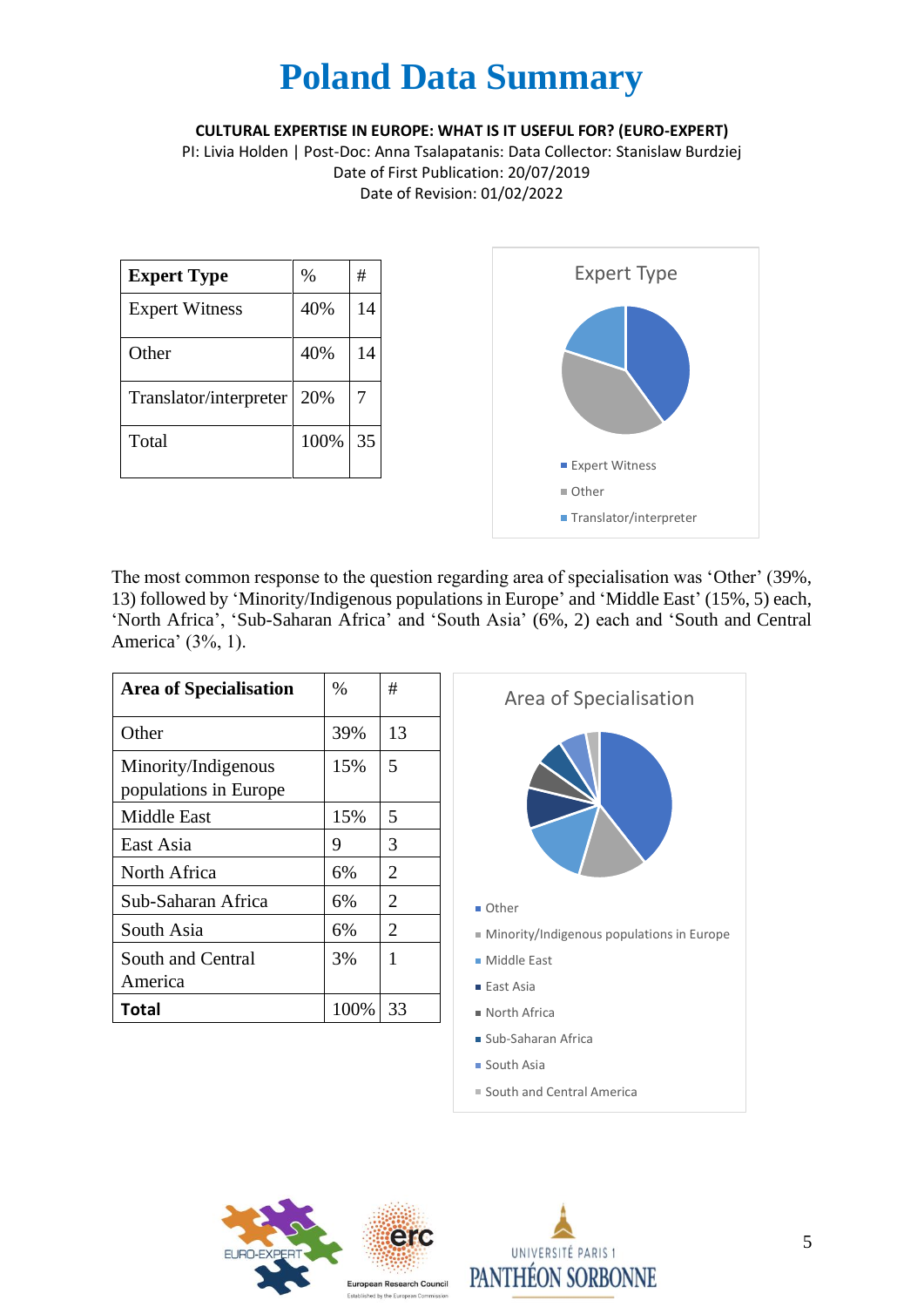**CULTURAL EXPERTISE IN EUROPE: WHAT IS IT USEFUL FOR? (EURO-EXPERT)**

PI: Livia Holden | Post-Doc: Anna Tsalapatanis: Data Collector: Stanislaw Burdziej Date of First Publication: 20/07/2019 Date of Revision: 01/02/2022

| <b>Expert Type</b>     | $\%$ | #  |
|------------------------|------|----|
| <b>Expert Witness</b>  | 40%  | 14 |
| Other                  | 40%  | 14 |
| Translator/interpreter | 20%  |    |
| Total                  | 100% | 35 |



The most common response to the question regarding area of specialisation was 'Other' (39%, 13) followed by 'Minority/Indigenous populations in Europe' and 'Middle East' (15%, 5) each, 'North Africa', 'Sub-Saharan Africa' and 'South Asia' (6%, 2) each and 'South and Central America' (3%, 1).

| <b>Area of Specialisation</b>                | $\%$ | #              | Area of Specialisation                    |
|----------------------------------------------|------|----------------|-------------------------------------------|
| Other                                        | 39%  | 13             |                                           |
| Minority/Indigenous<br>populations in Europe | 15%  | 5              |                                           |
| Middle East                                  | 15%  | 5              |                                           |
| East Asia                                    | 9    | 3              |                                           |
| North Africa                                 | 6%   | $\overline{2}$ |                                           |
| Sub-Saharan Africa                           | 6%   | $\overline{2}$ | ■ Other                                   |
| South Asia                                   | 6%   | $\overline{2}$ | Minority/Indigenous populations in Europe |
| South and Central                            | 3%   | 1              | ■ Middle East                             |
| America                                      |      |                | ■ East Asia                               |
| Total                                        | 100% | 33             | North Africa                              |
|                                              |      |                |                                           |

- Sub-Saharan Africa
- South Asia
- South and Central America



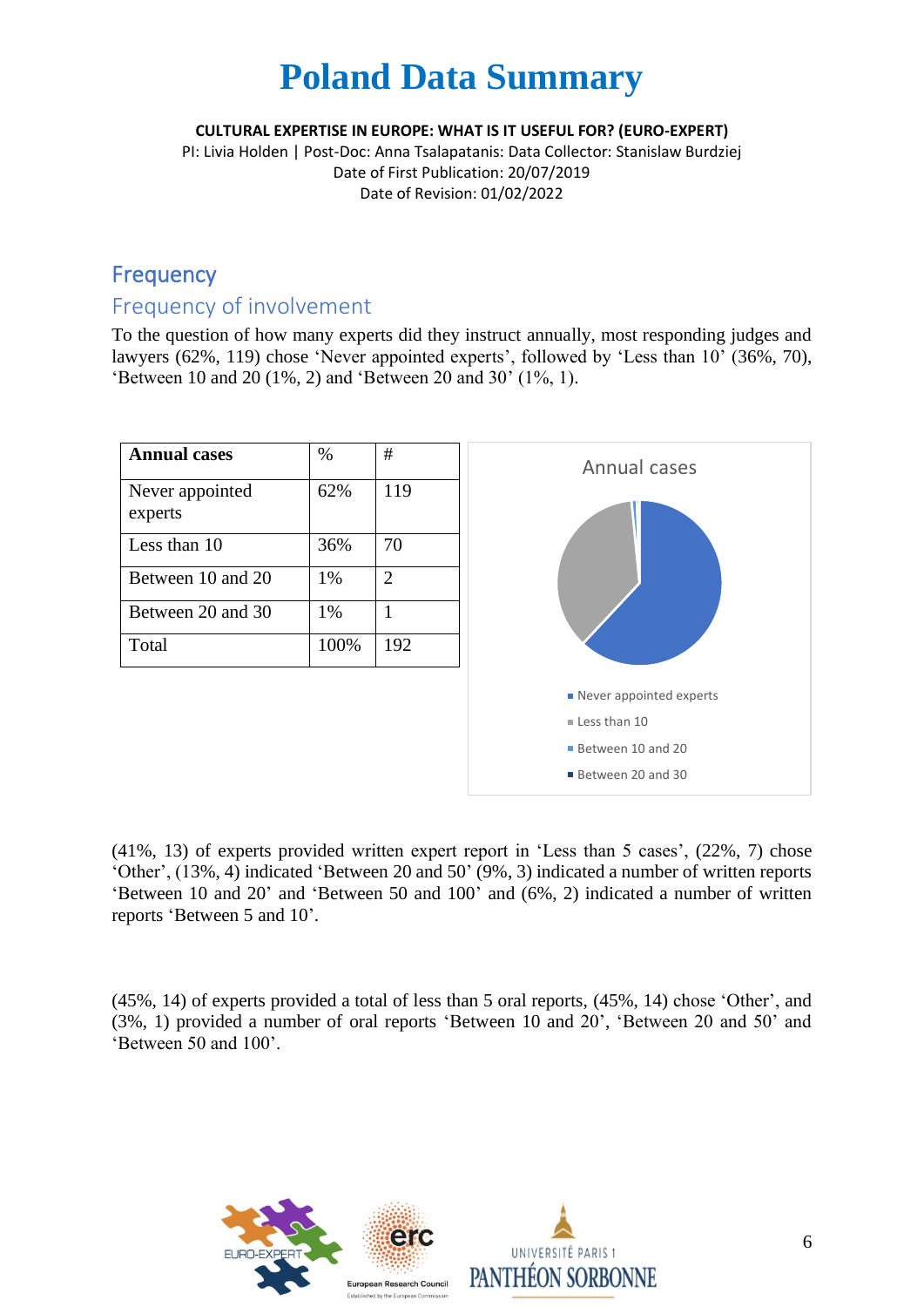**CULTURAL EXPERTISE IN EUROPE: WHAT IS IT USEFUL FOR? (EURO-EXPERT)**

PI: Livia Holden | Post-Doc: Anna Tsalapatanis: Data Collector: Stanislaw Burdziej Date of First Publication: 20/07/2019 Date of Revision: 01/02/2022

### Frequency

### Frequency of involvement

To the question of how many experts did they instruct annually, most responding judges and lawyers (62%, 119) chose 'Never appointed experts', followed by 'Less than 10' (36%, 70), 'Between 10 and 20 (1%, 2) and 'Between 20 and 30' (1%, 1).

| <b>Annual cases</b>        | $\%$ | #              |
|----------------------------|------|----------------|
| Never appointed<br>experts | 62%  | 119            |
| Less than 10               | 36%  | 70             |
| Between 10 and 20          | 1%   | $\overline{2}$ |
| Between 20 and 30          | 1%   |                |
| Total                      | 100% | 192            |
|                            |      |                |



(41%, 13) of experts provided written expert report in 'Less than 5 cases', (22%, 7) chose 'Other', (13%, 4) indicated 'Between 20 and 50' (9%, 3) indicated a number of written reports 'Between 10 and 20' and 'Between 50 and 100' and (6%, 2) indicated a number of written reports 'Between 5 and 10'.

(45%, 14) of experts provided a total of less than 5 oral reports, (45%, 14) chose 'Other', and (3%, 1) provided a number of oral reports 'Between 10 and 20', 'Between 20 and 50' and 'Between 50 and 100'.

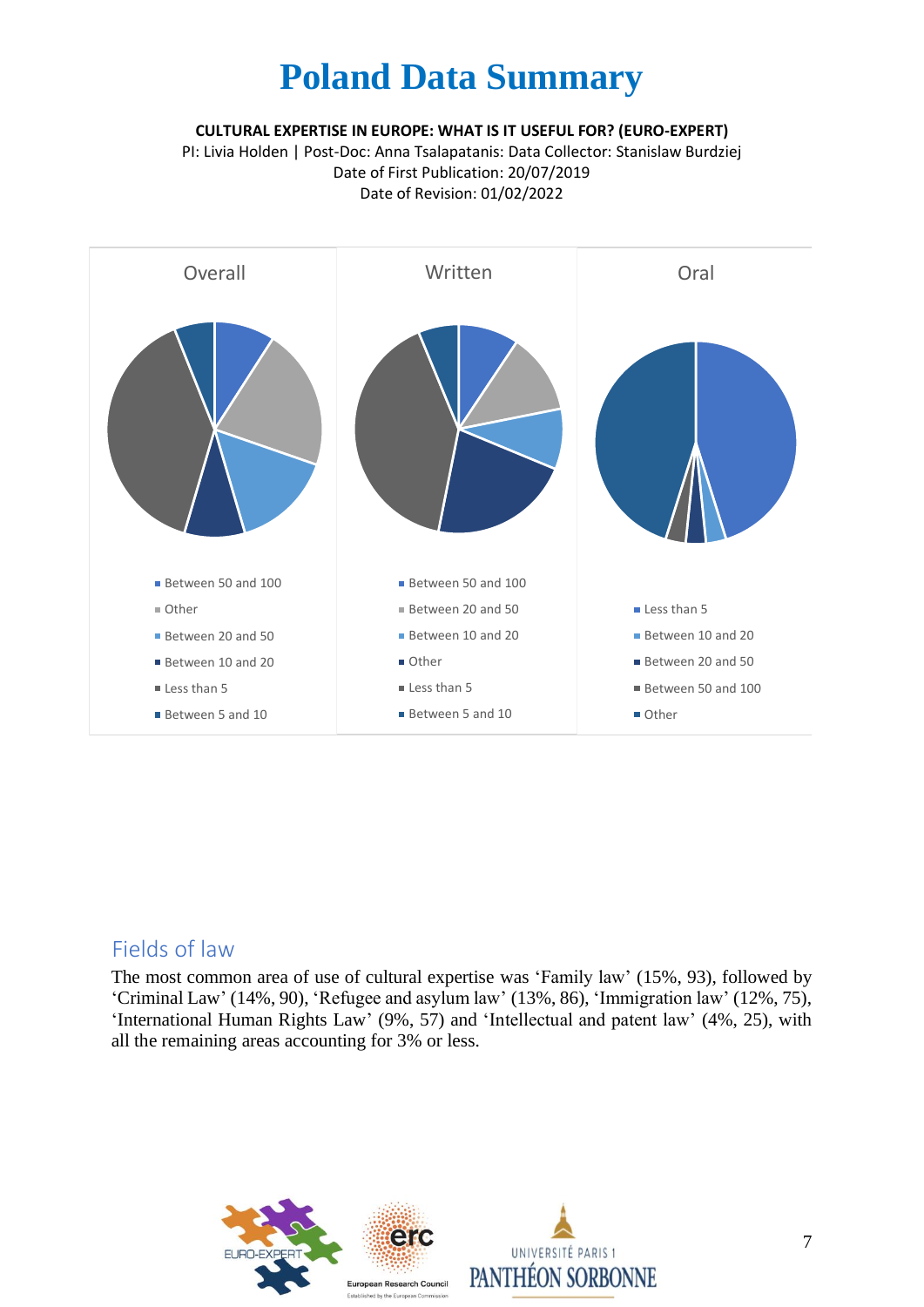**CULTURAL EXPERTISE IN EUROPE: WHAT IS IT USEFUL FOR? (EURO-EXPERT)**

PI: Livia Holden | Post-Doc: Anna Tsalapatanis: Data Collector: Stanislaw Burdziej Date of First Publication: 20/07/2019 Date of Revision: 01/02/2022



#### Fields of law

The most common area of use of cultural expertise was 'Family law' (15%, 93), followed by 'Criminal Law' (14%, 90), 'Refugee and asylum law' (13%, 86), 'Immigration law' (12%, 75), 'International Human Rights Law' (9%, 57) and 'Intellectual and patent law' (4%, 25), with all the remaining areas accounting for 3% or less.

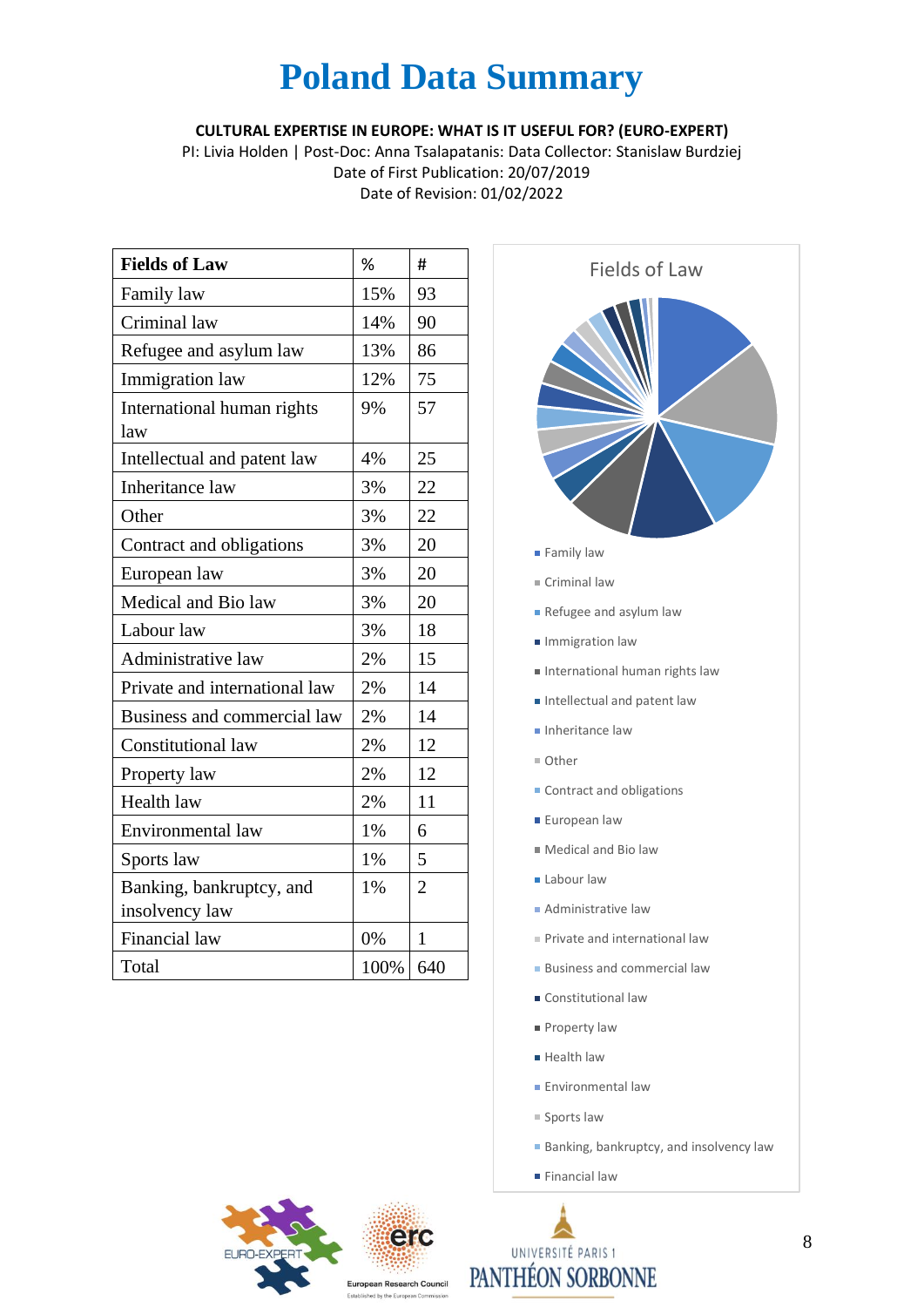**CULTURAL EXPERTISE IN EUROPE: WHAT IS IT USEFUL FOR? (EURO-EXPERT)**

PI: Livia Holden | Post-Doc: Anna Tsalapatanis: Data Collector: Stanislaw Burdziej Date of First Publication: 20/07/2019 Date of Revision: 01/02/2022

| <b>Fields of Law</b>                       | %    | #              |
|--------------------------------------------|------|----------------|
| Family law                                 | 15%  | 93             |
| Criminal law                               | 14%  | 90             |
| Refugee and asylum law                     | 13%  | 86             |
| Immigration law                            | 12%  | 75             |
| International human rights<br>law          | 9%   | 57             |
| Intellectual and patent law                | 4%   | 25             |
| Inheritance law                            | 3%   | 22             |
| Other                                      | 3%   | 22             |
| Contract and obligations                   | 3%   | 20             |
| European law                               | 3%   | 20             |
| Medical and Bio law                        | 3%   | 20             |
| Labour law                                 | 3%   | 18             |
| Administrative law                         | 2%   | 15             |
| Private and international law              | 2%   | 14             |
| Business and commercial law                | 2%   | 14             |
| <b>Constitutional law</b>                  | 2%   | 12             |
| Property law                               | 2%   | 12             |
| Health law                                 | 2%   | 11             |
| Environmental law                          | 1%   | 6              |
| Sports law                                 | 1%   | 5              |
| Banking, bankruptcy, and<br>insolvency law | 1%   | $\overline{2}$ |
| Financial law                              | 0%   | $\mathbf{1}$   |
| Total                                      | 100% | 640            |



- **Administrative law**
- Private and international law
- **Business and commercial law**
- Constitutional law
- **Property law**
- **Health law**
- **Environmental law**
- Sports law
- **Banking, bankruptcy, and insolvency law**
- **Financial law**



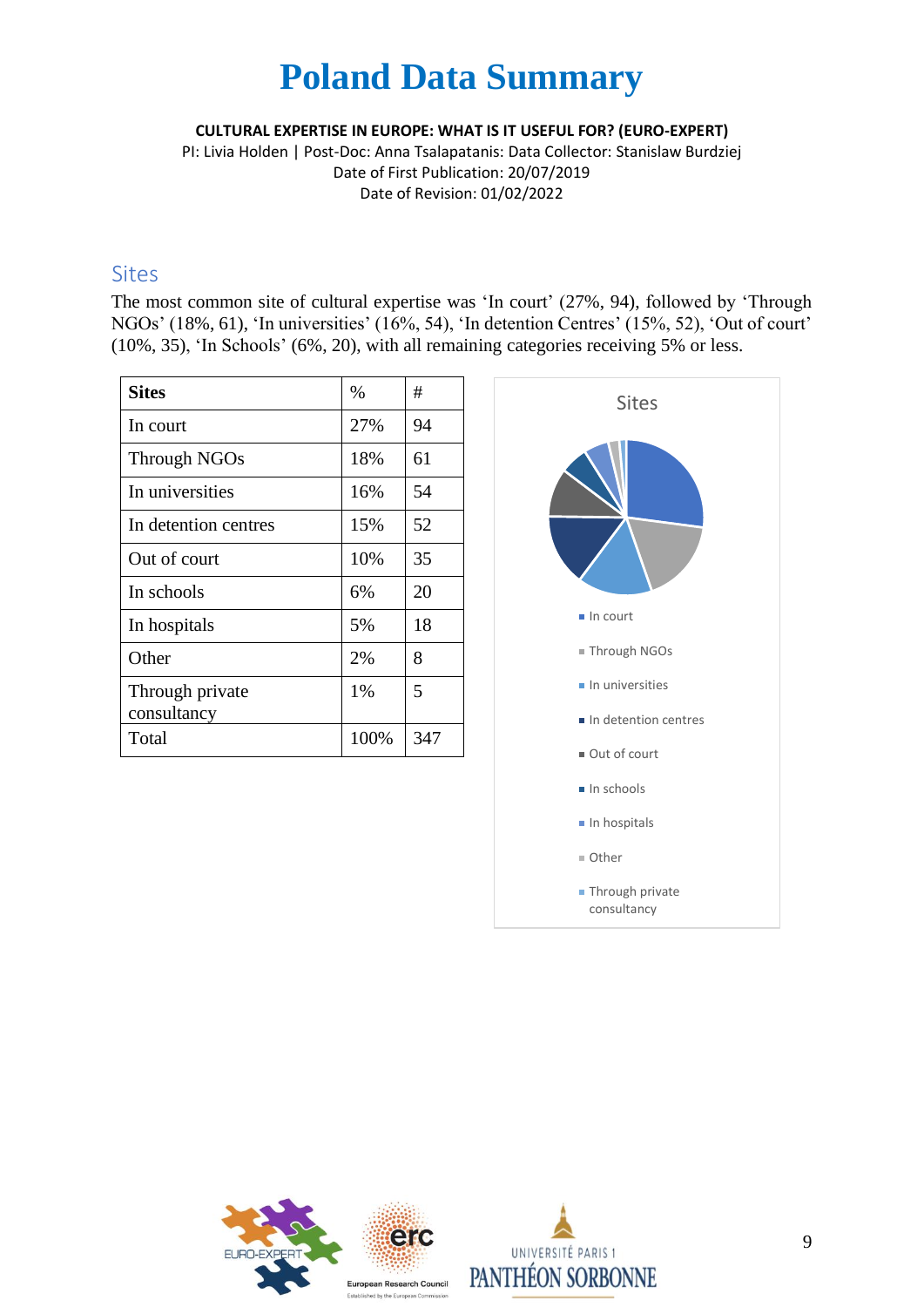**CULTURAL EXPERTISE IN EUROPE: WHAT IS IT USEFUL FOR? (EURO-EXPERT)**

PI: Livia Holden | Post-Doc: Anna Tsalapatanis: Data Collector: Stanislaw Burdziej Date of First Publication: 20/07/2019 Date of Revision: 01/02/2022

#### Sites

The most common site of cultural expertise was 'In court' (27%, 94), followed by 'Through NGOs' (18%, 61), 'In universities' (16%, 54), 'In detention Centres' (15%, 52), 'Out of court' (10%, 35), 'In Schools' (6%, 20), with all remaining categories receiving 5% or less.

| <b>Sites</b>                   | $\%$ | #   |
|--------------------------------|------|-----|
| In court                       | 27%  | 94  |
| <b>Through NGOs</b>            | 18%  | 61  |
| In universities                | 16%  | 54  |
| In detention centres           | 15%  | 52  |
| Out of court                   | 10%  | 35  |
| In schools                     | 6%   | 20  |
| In hospitals                   | 5%   | 18  |
| Other                          | 2%   | 8   |
| Through private<br>consultancy | 1%   | 5   |
| Total                          | 100% | 347 |





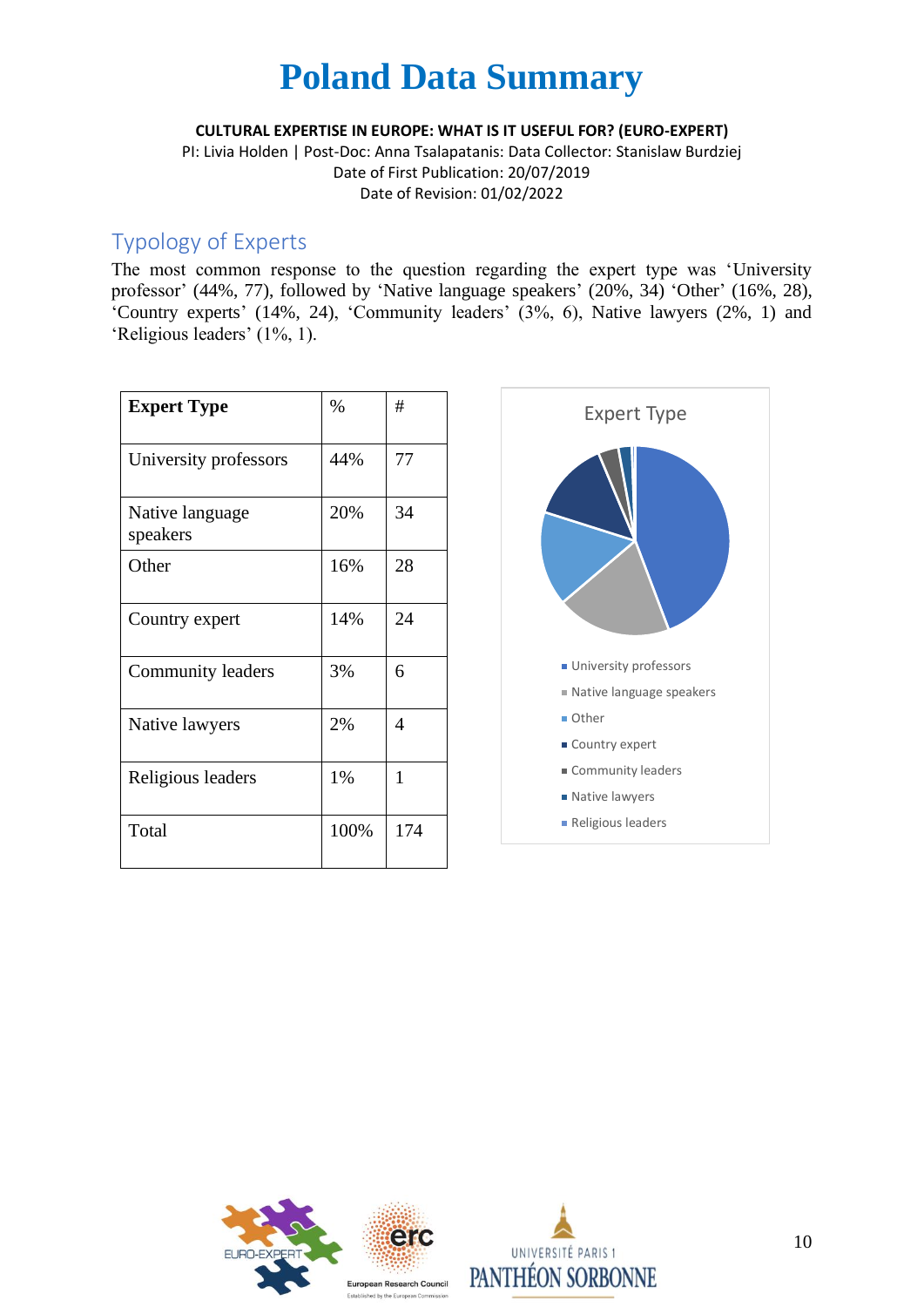**CULTURAL EXPERTISE IN EUROPE: WHAT IS IT USEFUL FOR? (EURO-EXPERT)**

PI: Livia Holden | Post-Doc: Anna Tsalapatanis: Data Collector: Stanislaw Burdziej Date of First Publication: 20/07/2019 Date of Revision: 01/02/2022

### Typology of Experts

The most common response to the question regarding the expert type was 'University professor' (44%, 77), followed by 'Native language speakers' (20%, 34) 'Other' (16%, 28), 'Country experts' (14%, 24), 'Community leaders' (3%, 6), Native lawyers (2%, 1) and 'Religious leaders' (1%, 1).

| <b>Expert Type</b>          | $\%$ | #   |
|-----------------------------|------|-----|
| University professors       | 44%  | 77  |
| Native language<br>speakers | 20%  | 34  |
| Other                       | 16%  | 28  |
| Country expert              | 14%  | 24  |
| Community leaders           | 3%   | 6   |
| Native lawyers              | 2%   | 4   |
| Religious leaders           | 1%   | 1   |
| Total                       | 100% | 174 |





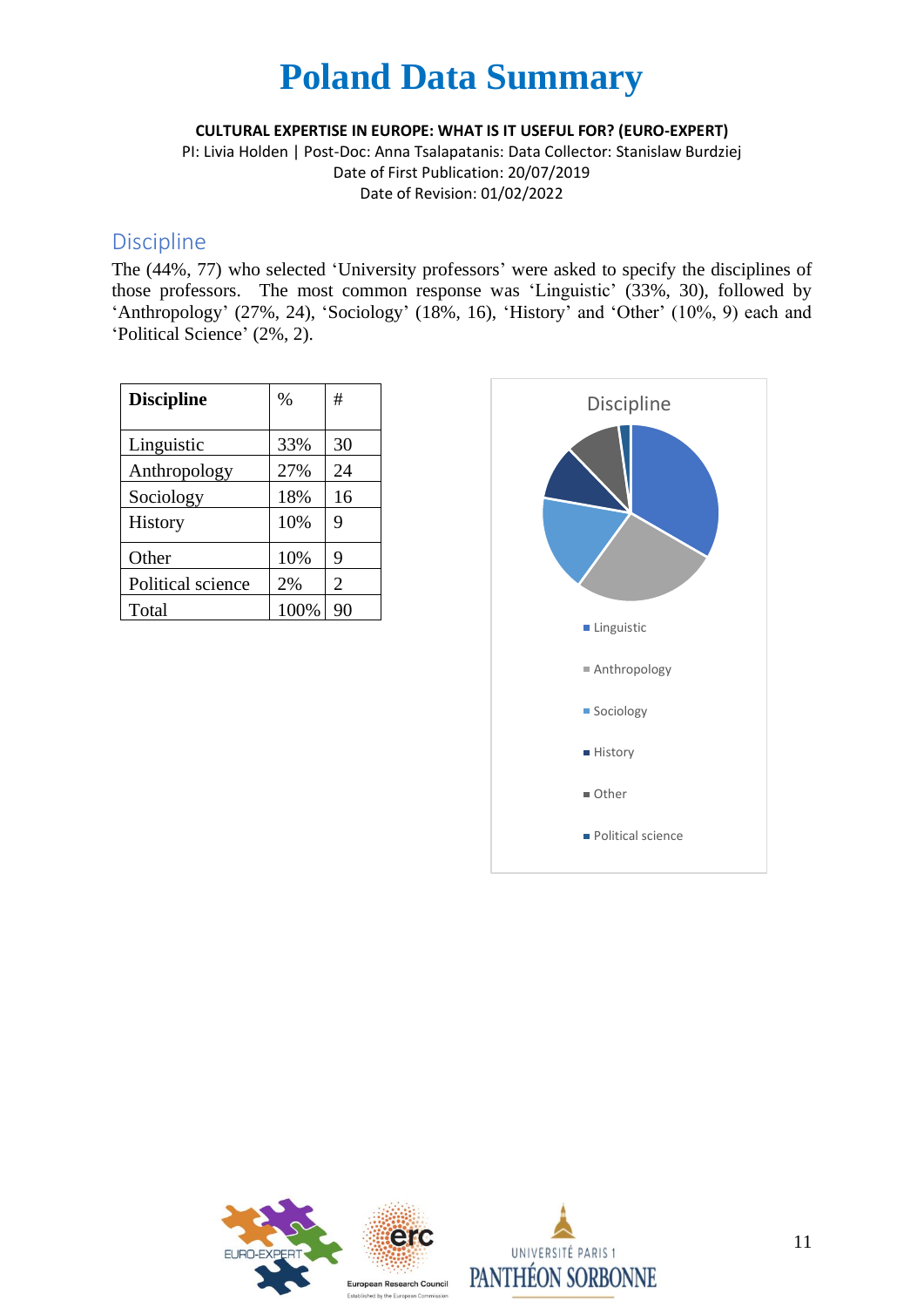**CULTURAL EXPERTISE IN EUROPE: WHAT IS IT USEFUL FOR? (EURO-EXPERT)**

PI: Livia Holden | Post-Doc: Anna Tsalapatanis: Data Collector: Stanislaw Burdziej Date of First Publication: 20/07/2019 Date of Revision: 01/02/2022

#### Discipline

The (44%, 77) who selected 'University professors' were asked to specify the disciplines of those professors. The most common response was 'Linguistic' (33%, 30), followed by 'Anthropology' (27%, 24), 'Sociology' (18%, 16), 'History' and 'Other' (10%, 9) each and 'Political Science' (2%, 2).

| <b>Discipline</b> | $\%$ | #              |
|-------------------|------|----------------|
| Linguistic        | 33%  | 30             |
| Anthropology      | 27%  | 24             |
| Sociology         | 18%  | 16             |
| History           | 10%  | 9              |
| Other             | 10%  | 9              |
| Political science | 2%   | $\overline{2}$ |
| Total             | 100% | 90             |





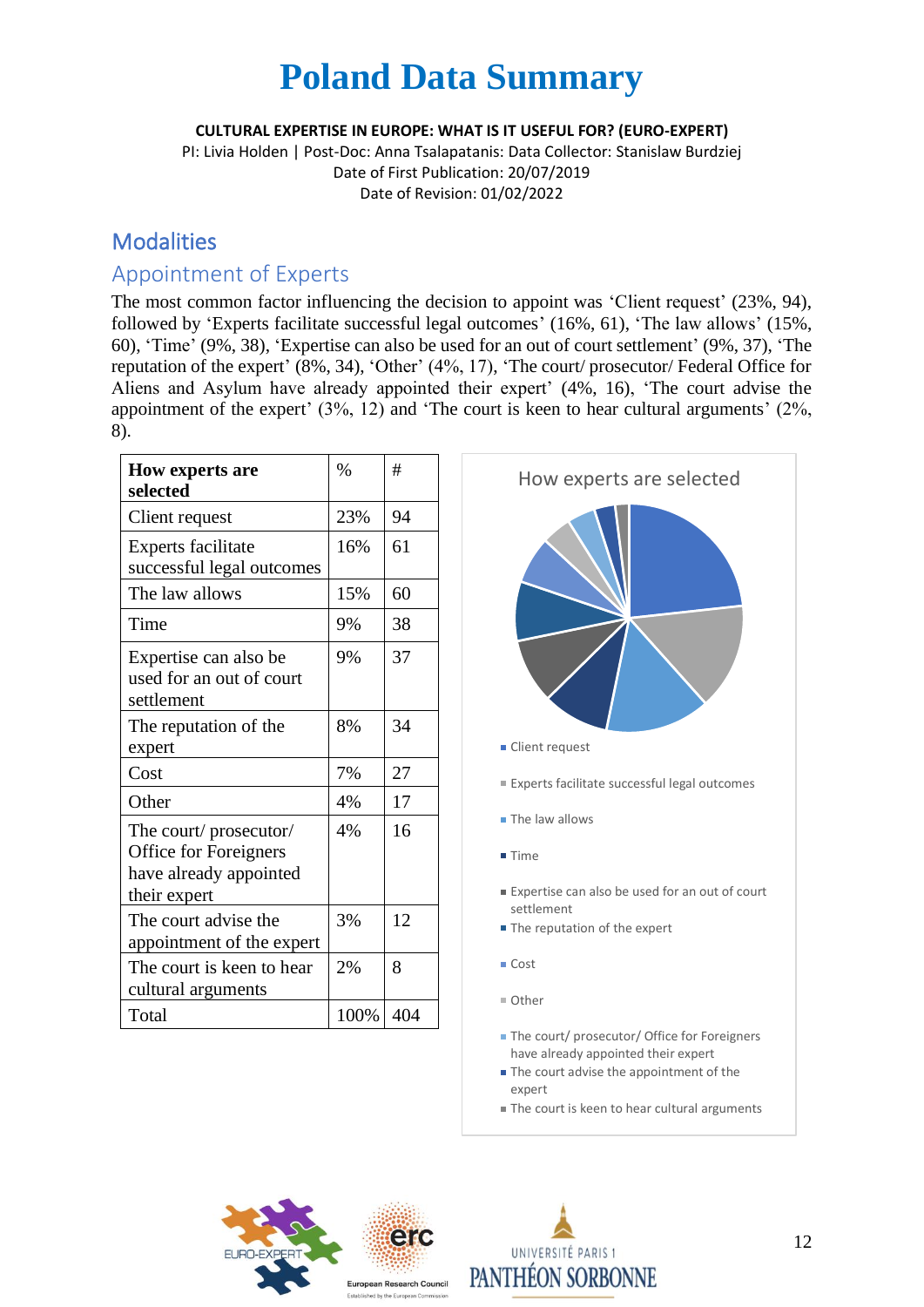**CULTURAL EXPERTISE IN EUROPE: WHAT IS IT USEFUL FOR? (EURO-EXPERT)**

PI: Livia Holden | Post-Doc: Anna Tsalapatanis: Data Collector: Stanislaw Burdziej Date of First Publication: 20/07/2019 Date of Revision: 01/02/2022

### **Modalities**

### Appointment of Experts

The most common factor influencing the decision to appoint was 'Client request' (23%, 94), followed by 'Experts facilitate successful legal outcomes' (16%, 61), 'The law allows' (15%, 60), 'Time' (9%, 38), 'Expertise can also be used for an out of court settlement' (9%, 37), 'The reputation of the expert' (8%, 34), 'Other' (4%, 17), 'The court/ prosecutor/ Federal Office for Aliens and Asylum have already appointed their expert' (4%, 16), 'The court advise the appointment of the expert' (3%, 12) and 'The court is keen to hear cultural arguments' (2%, 8).

| <b>How experts are</b><br>selected                                                       | $\frac{0}{0}$ | #   |
|------------------------------------------------------------------------------------------|---------------|-----|
| Client request                                                                           | 23%           | 94  |
| Experts facilitate<br>successful legal outcomes                                          | 16%           | 61  |
| The law allows                                                                           | 15%           | 60  |
| Time                                                                                     | 9%            | 38  |
| Expertise can also be<br>used for an out of court<br>settlement                          | 9%            | 37  |
| The reputation of the<br>expert                                                          | 8%            | 34  |
| Cost                                                                                     | 7%            | 27  |
| Other                                                                                    | 4%            | 17  |
| The court/prosecutor/<br>Office for Foreigners<br>have already appointed<br>their expert | 4%            | 16  |
| The court advise the<br>appointment of the expert                                        | 3%            | 12  |
| The court is keen to hear<br>cultural arguments                                          | 2%            | 8   |
| Total                                                                                    | 100%          | 404 |



■ The court is keen to hear cultural arguments



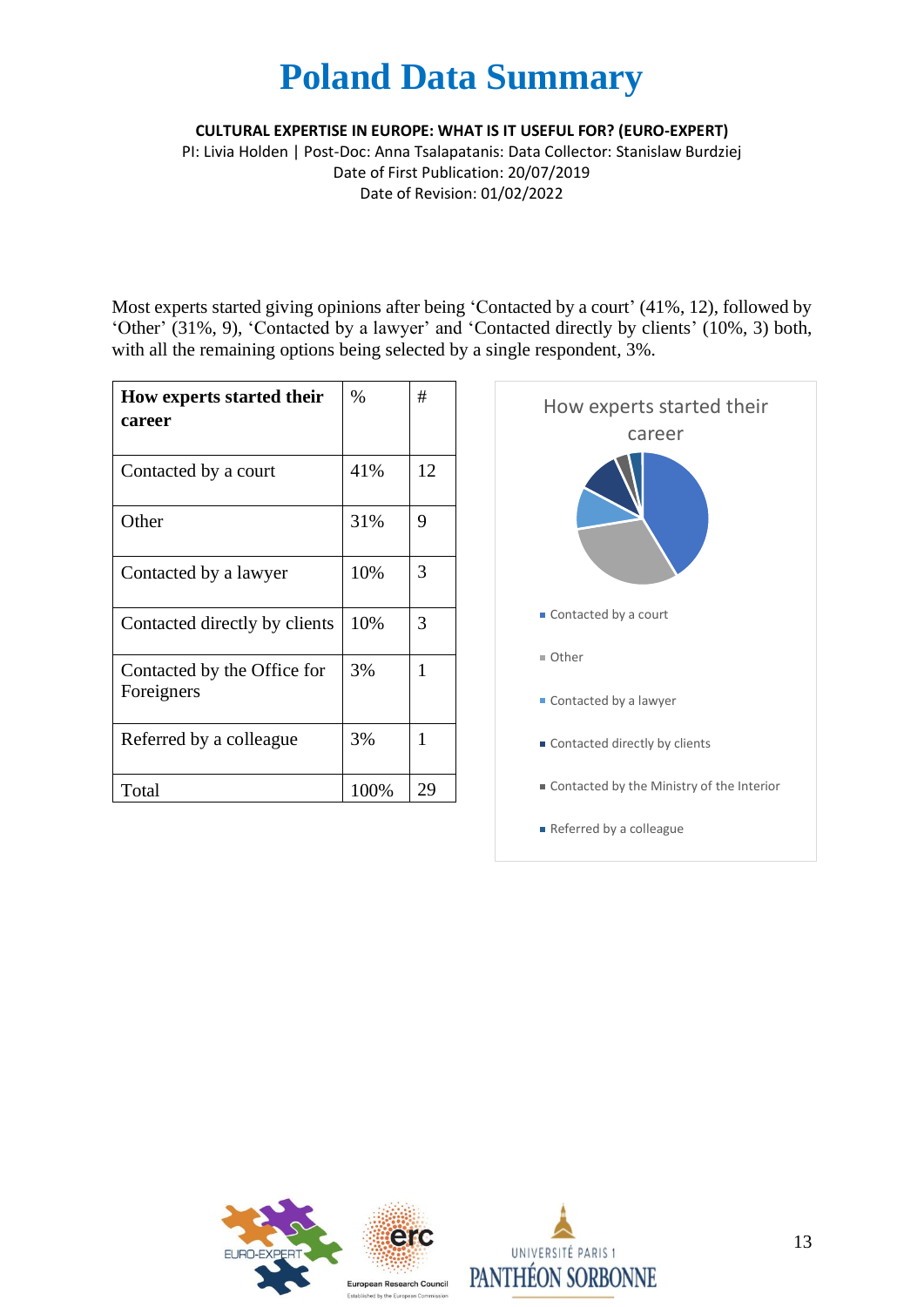**CULTURAL EXPERTISE IN EUROPE: WHAT IS IT USEFUL FOR? (EURO-EXPERT)**

PI: Livia Holden | Post-Doc: Anna Tsalapatanis: Data Collector: Stanislaw Burdziej Date of First Publication: 20/07/2019 Date of Revision: 01/02/2022

Most experts started giving opinions after being 'Contacted by a court' (41%, 12), followed by 'Other' (31%, 9), 'Contacted by a lawyer' and 'Contacted directly by clients' (10%, 3) both, with all the remaining options being selected by a single respondent, 3%.

| How experts started their<br>career       | $\%$ | #  |
|-------------------------------------------|------|----|
| Contacted by a court                      | 41%  | 12 |
| Other                                     | 31%  | 9  |
| Contacted by a lawyer                     | 10%  | 3  |
| Contacted directly by clients             | 10%  | 3  |
| Contacted by the Office for<br>Foreigners | 3%   | 1  |
| Referred by a colleague                   | 3%   | 1  |
| Total                                     | 100% | 29 |





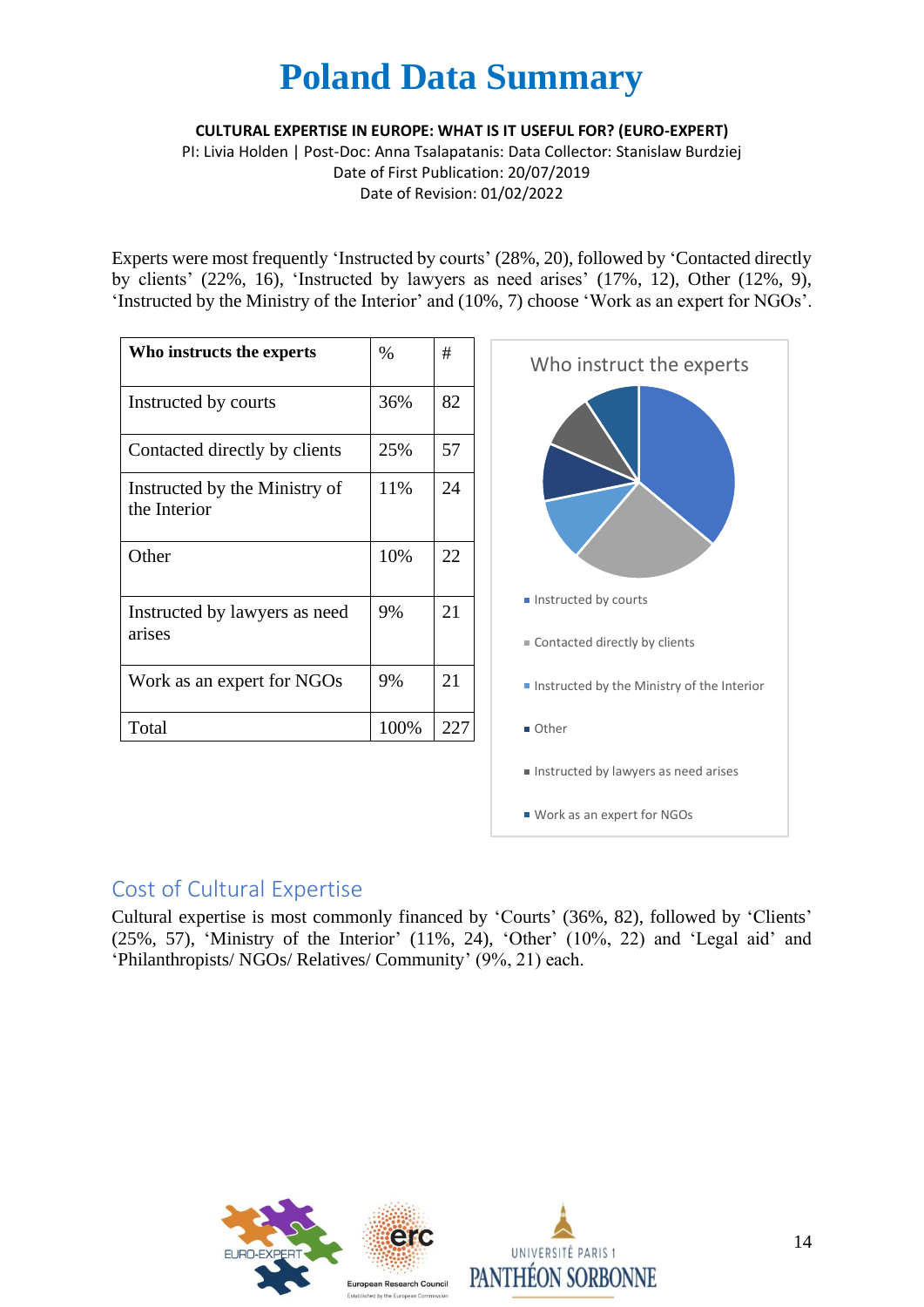**CULTURAL EXPERTISE IN EUROPE: WHAT IS IT USEFUL FOR? (EURO-EXPERT)**

PI: Livia Holden | Post-Doc: Anna Tsalapatanis: Data Collector: Stanislaw Burdziej Date of First Publication: 20/07/2019 Date of Revision: 01/02/2022

Experts were most frequently 'Instructed by courts' (28%, 20), followed by 'Contacted directly by clients' (22%, 16), 'Instructed by lawyers as need arises' (17%, 12), Other (12%, 9), 'Instructed by the Ministry of the Interior' and (10%, 7) choose 'Work as an expert for NGOs'.

| Who instructs the experts                     | $\%$ | #   |
|-----------------------------------------------|------|-----|
| Instructed by courts                          | 36%  | 82  |
| Contacted directly by clients                 | 25%  | 57  |
| Instructed by the Ministry of<br>the Interior | 11%  | 24  |
| Other                                         | 10%  | 22  |
| Instructed by lawyers as need<br>arises       | 9%   | 21  |
| Work as an expert for NGOs                    | 9%   | 21  |
| Total                                         | 100% | 227 |



### Cost of Cultural Expertise

Cultural expertise is most commonly financed by 'Courts' (36%, 82), followed by 'Clients' (25%, 57), 'Ministry of the Interior' (11%, 24), 'Other' (10%, 22) and 'Legal aid' and 'Philanthropists/ NGOs/ Relatives/ Community' (9%, 21) each.

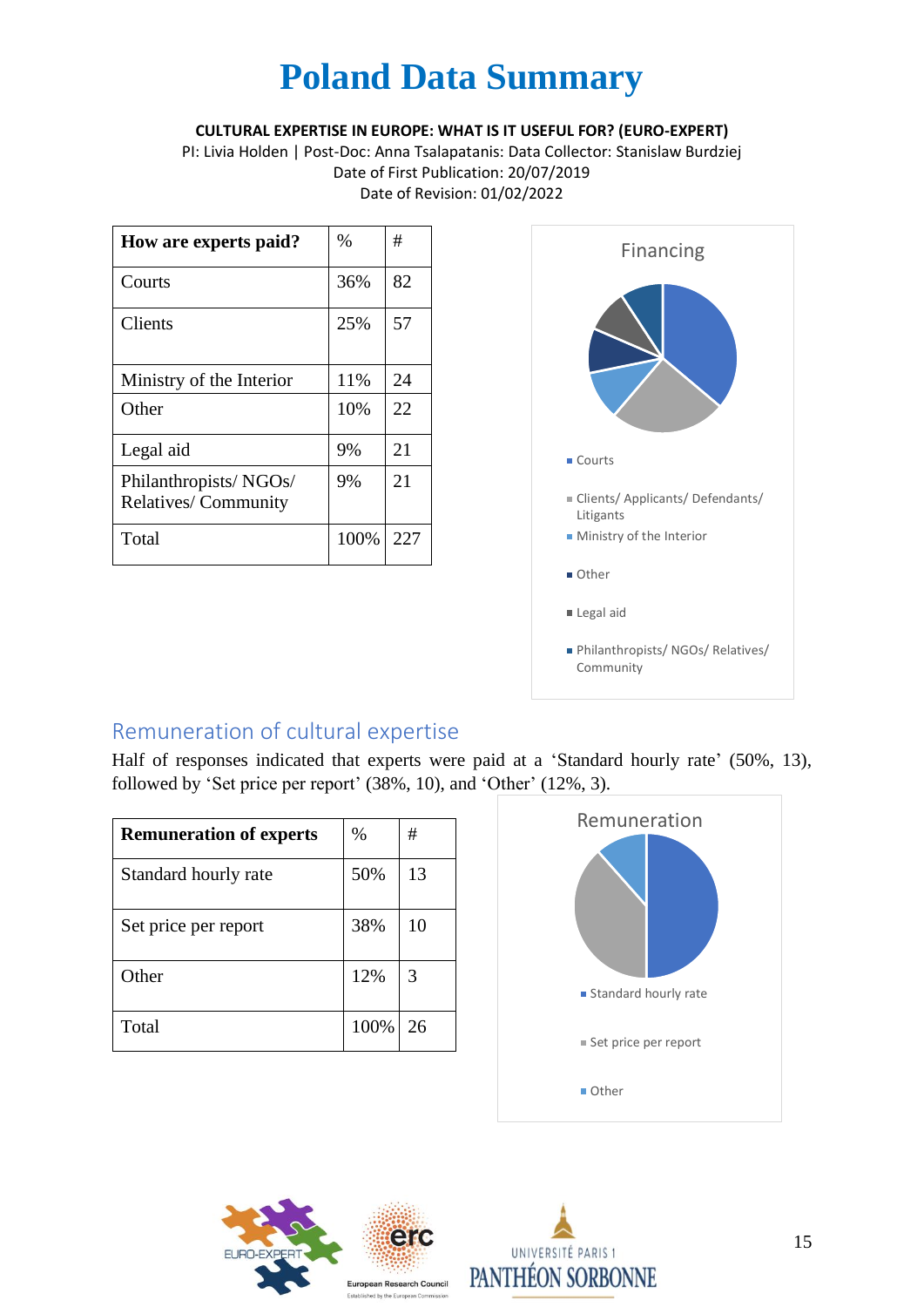#### **CULTURAL EXPERTISE IN EUROPE: WHAT IS IT USEFUL FOR? (EURO-EXPERT)**

PI: Livia Holden | Post-Doc: Anna Tsalapatanis: Data Collector: Stanislaw Burdziej Date of First Publication: 20/07/2019 Date of Revision: 01/02/2022

| How are experts paid?                               | %    | #   |
|-----------------------------------------------------|------|-----|
| Courts                                              | 36%  | 82  |
| <b>Clients</b>                                      | 25%  | 57  |
| Ministry of the Interior                            | 11%  | 24  |
| Other                                               | 10%  | 22  |
| Legal aid                                           | 9%   | 21  |
| Philanthropists/NGOs/<br><b>Relatives/Community</b> | 9%   | 21  |
| Total                                               | 100% | 227 |



### Remuneration of cultural expertise

Half of responses indicated that experts were paid at a 'Standard hourly rate' (50%, 13), followed by 'Set price per report' (38%, 10), and 'Other' (12%, 3).

| <b>Remuneration of experts</b> | $\%$ | #  |
|--------------------------------|------|----|
| Standard hourly rate           | 50%  | 13 |
| Set price per report           | 38%  | 10 |
| Other                          | 12%  | 3  |
| Total                          | 100% | 26 |





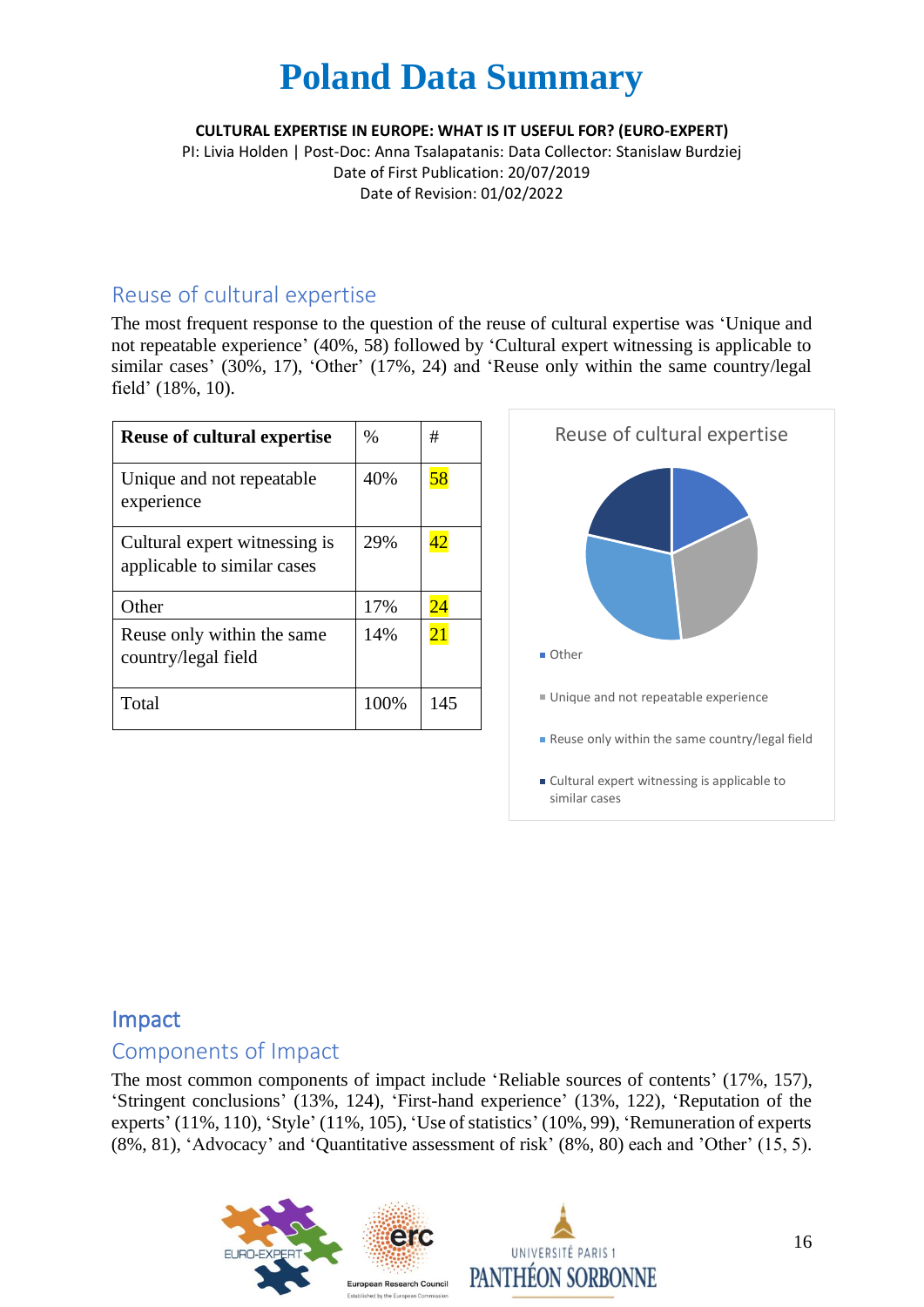#### **CULTURAL EXPERTISE IN EUROPE: WHAT IS IT USEFUL FOR? (EURO-EXPERT)**

PI: Livia Holden | Post-Doc: Anna Tsalapatanis: Data Collector: Stanislaw Burdziej Date of First Publication: 20/07/2019 Date of Revision: 01/02/2022

### Reuse of cultural expertise

The most frequent response to the question of the reuse of cultural expertise was 'Unique and not repeatable experience' (40%, 58) followed by 'Cultural expert witnessing is applicable to similar cases' (30%, 17), 'Other' (17%, 24) and 'Reuse only within the same country/legal field' (18%, 10).

| <b>Reuse of cultural expertise</b>                           | $\%$ | #   |
|--------------------------------------------------------------|------|-----|
| Unique and not repeatable<br>experience                      | 40%  | 58  |
| Cultural expert witnessing is<br>applicable to similar cases | 29%  | 42  |
| Other                                                        | 17%  | 24  |
| Reuse only within the same<br>country/legal field            | 14%  | 21  |
| Total                                                        | 100% | 145 |



#### Impact

#### Components of Impact

The most common components of impact include 'Reliable sources of contents' (17%, 157), 'Stringent conclusions' (13%, 124), 'First-hand experience' (13%, 122), 'Reputation of the experts' (11%, 110), 'Style' (11%, 105), 'Use of statistics' (10%, 99), 'Remuneration of experts (8%, 81), 'Advocacy' and 'Quantitative assessment of risk' (8%, 80) each and 'Other' (15, 5).

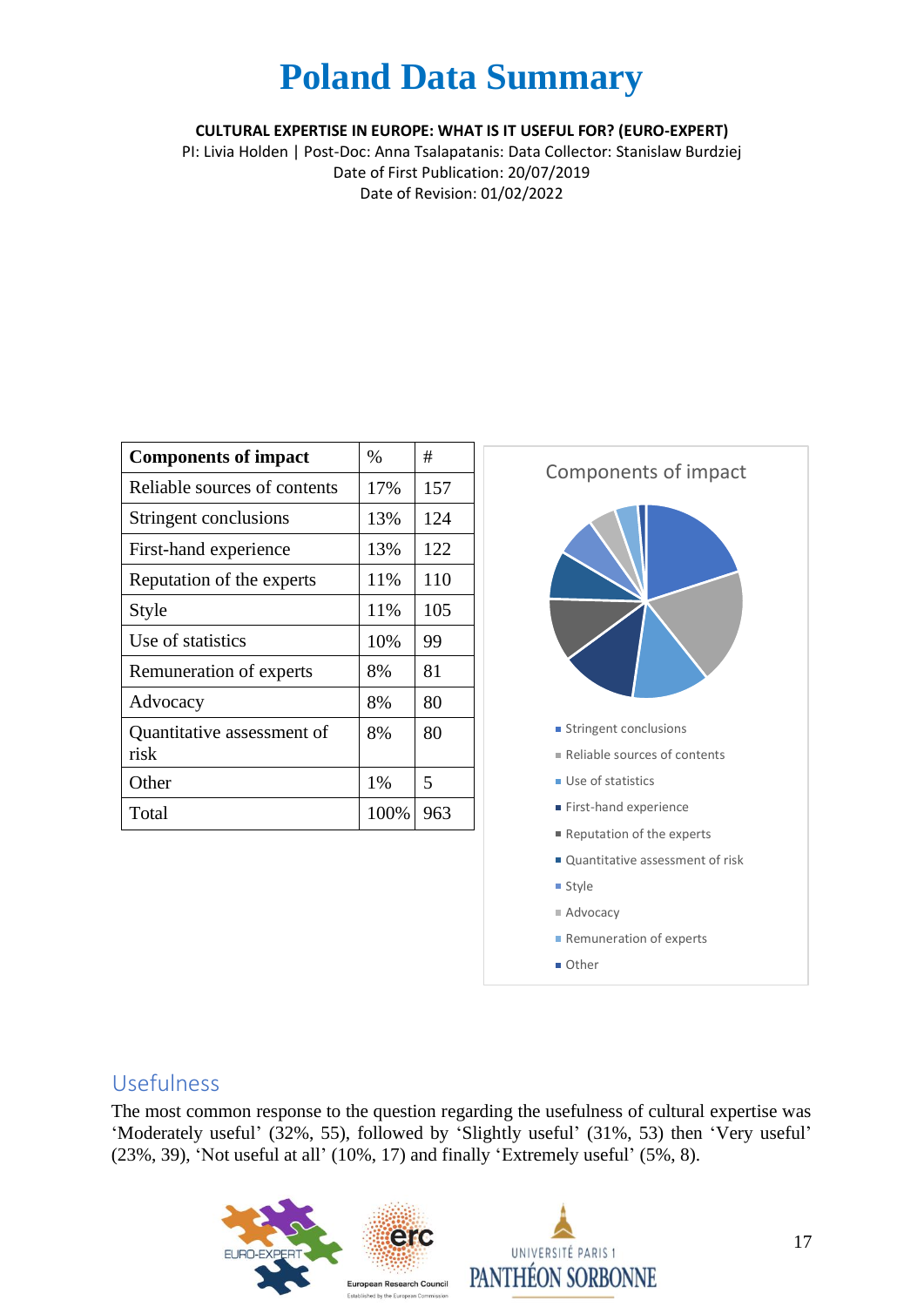**CULTURAL EXPERTISE IN EUROPE: WHAT IS IT USEFUL FOR? (EURO-EXPERT)**

PI: Livia Holden | Post-Doc: Anna Tsalapatanis: Data Collector: Stanislaw Burdziej Date of First Publication: 20/07/2019 Date of Revision: 01/02/2022

| <b>Components of impact</b>        | $\%$ | #   |
|------------------------------------|------|-----|
| Reliable sources of contents       | 17%  | 157 |
| Stringent conclusions              | 13%  | 124 |
| First-hand experience              | 13%  | 122 |
| Reputation of the experts          | 11%  | 110 |
| Style                              | 11%  | 105 |
| Use of statistics                  | 10%  | 99  |
| Remuneration of experts            | 8%   | 81  |
| Advocacy                           | 8%   | 80  |
| Quantitative assessment of<br>risk | 8%   | 80  |
| Other                              | 1%   | 5   |
| Total                              | 100% | 963 |



#### Usefulness

The most common response to the question regarding the usefulness of cultural expertise was 'Moderately useful' (32%, 55), followed by 'Slightly useful' (31%, 53) then 'Very useful' (23%, 39), 'Not useful at all' (10%, 17) and finally 'Extremely useful' (5%, 8).

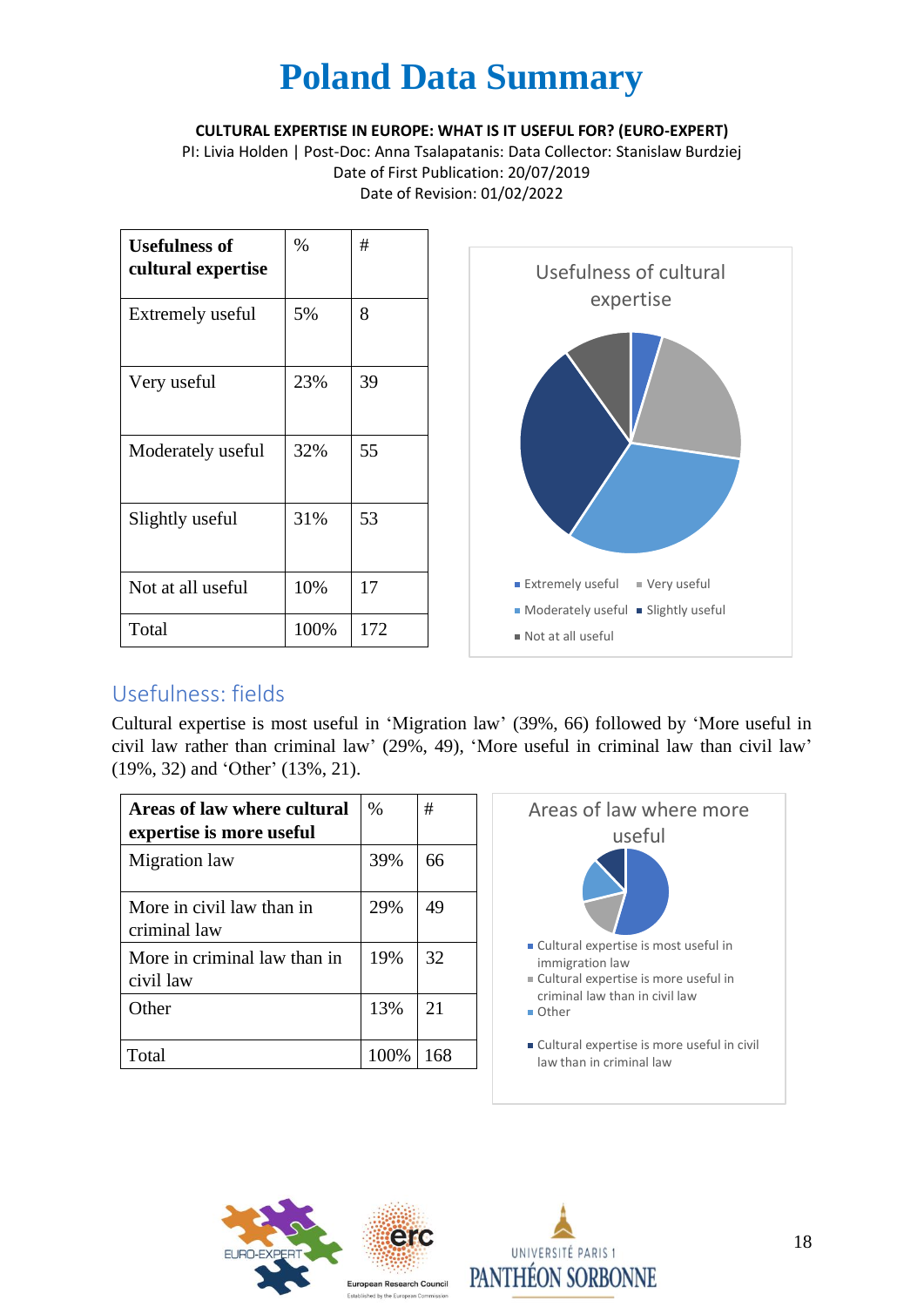**CULTURAL EXPERTISE IN EUROPE: WHAT IS IT USEFUL FOR? (EURO-EXPERT)**

PI: Livia Holden | Post-Doc: Anna Tsalapatanis: Data Collector: Stanislaw Burdziej Date of First Publication: 20/07/2019 Date of Revision: 01/02/2022

| <b>Usefulness of</b><br>cultural expertise | %    | #   |
|--------------------------------------------|------|-----|
| Extremely useful                           | 5%   | 8   |
| Very useful                                | 23%  | 39  |
| Moderately useful                          | 32%  | 55  |
| Slightly useful                            | 31%  | 53  |
| Not at all useful                          | 10%  | 17  |
| Total                                      | 100% | 172 |



### Usefulness: fields

Cultural expertise is most useful in 'Migration law' (39%, 66) followed by 'More useful in civil law rather than criminal law' (29%, 49), 'More useful in criminal law than civil law' (19%, 32) and 'Other' (13%, 21).

| Areas of law where cultural<br>expertise is more useful | $\%$  | #   |
|---------------------------------------------------------|-------|-----|
| Migration law                                           | 39%   | 66  |
| More in civil law than in<br>criminal law               | 29%   | 49  |
| More in criminal law than in<br>civil law               | 19%   | 32  |
| Other                                                   | 13%   | 21  |
| Total                                                   | 100\% | 168 |





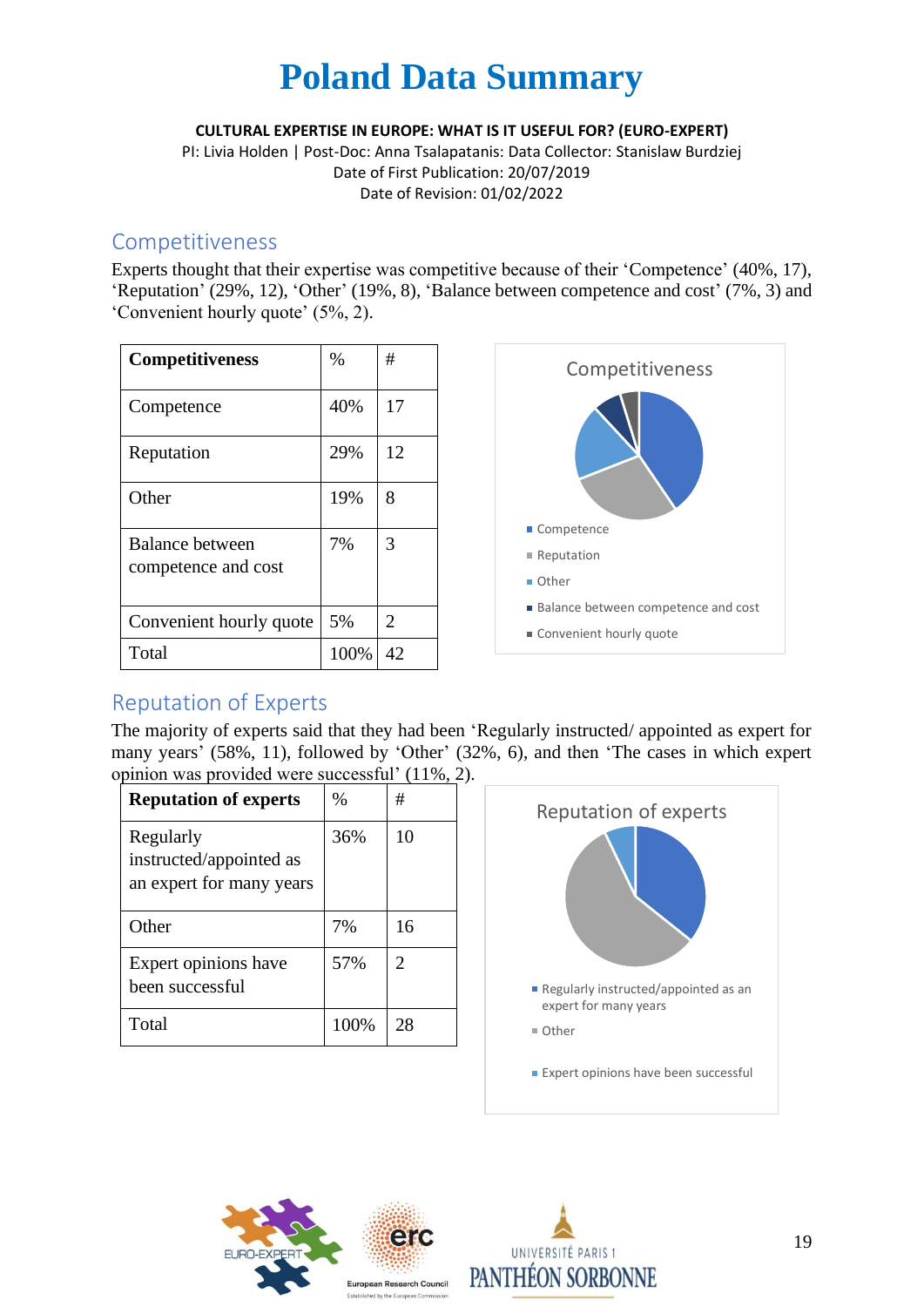**CULTURAL EXPERTISE IN EUROPE: WHAT IS IT USEFUL FOR? (EURO-EXPERT)**

PI: Livia Holden | Post-Doc: Anna Tsalapatanis: Data Collector: Stanislaw Burdziej Date of First Publication: 20/07/2019 Date of Revision: 01/02/2022

### Competitiveness

Experts thought that their expertise was competitive because of their 'Competence' (40%, 17), 'Reputation' (29%, 12), 'Other' (19%, 8), 'Balance between competence and cost' (7%, 3) and 'Convenient hourly quote' (5%, 2).

| <b>Competitiveness</b>                 | $\%$ | #              |
|----------------------------------------|------|----------------|
| Competence                             | 40%  | 17             |
| Reputation                             | 29%  | 12             |
| Other                                  | 19%  | 8              |
| Balance between<br>competence and cost | 7%   | 3              |
| Convenient hourly quote                | 5%   | $\overline{2}$ |
| Total                                  | 100% | 42             |



### Reputation of Experts

The majority of experts said that they had been 'Regularly instructed/ appointed as expert for many years' (58%, 11), followed by 'Other' (32%, 6), and then 'The cases in which expert opinion was provided were successful' (11%, 2).

| <b>Reputation of experts</b>                                     | $\%$ | #                           |
|------------------------------------------------------------------|------|-----------------------------|
| Regularly<br>instructed/appointed as<br>an expert for many years | 36%  | 10                          |
| Other                                                            | 7%   | 16                          |
| Expert opinions have<br>been successful                          | 57%  | $\mathcal{D}_{\mathcal{L}}$ |
| Total                                                            | 100% | 28                          |





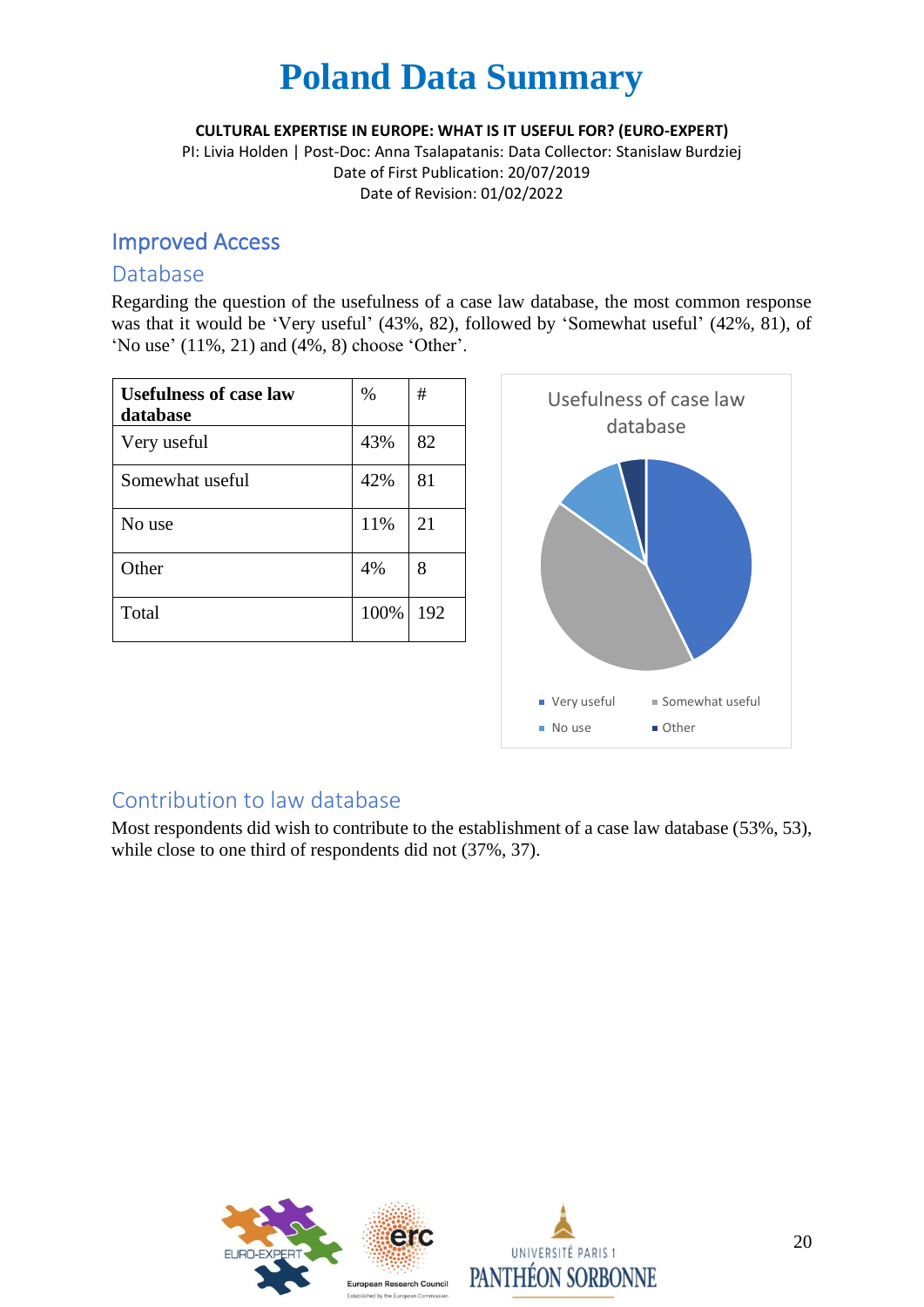**CULTURAL EXPERTISE IN EUROPE: WHAT IS IT USEFUL FOR? (EURO-EXPERT)**

PI: Livia Holden | Post-Doc: Anna Tsalapatanis: Data Collector: Stanislaw Burdziej Date of First Publication: 20/07/2019 Date of Revision: 01/02/2022

### Improved Access

#### Database

Regarding the question of the usefulness of a case law database, the most common response was that it would be 'Very useful' (43%, 82), followed by 'Somewhat useful' (42%, 81), of 'No use' (11%, 21) and (4%, 8) choose 'Other'.

| <b>Usefulness of case law</b><br>database | $\%$ | #   |
|-------------------------------------------|------|-----|
| Very useful                               | 43%  | 82  |
| Somewhat useful                           | 42%  | 81  |
| No use                                    | 11%  | 21  |
| Other                                     | 4%   | 8   |
| Total                                     | 100% | 192 |



### Contribution to law database

Most respondents did wish to contribute to the establishment of a case law database (53%, 53), while close to one third of respondents did not (37%, 37).

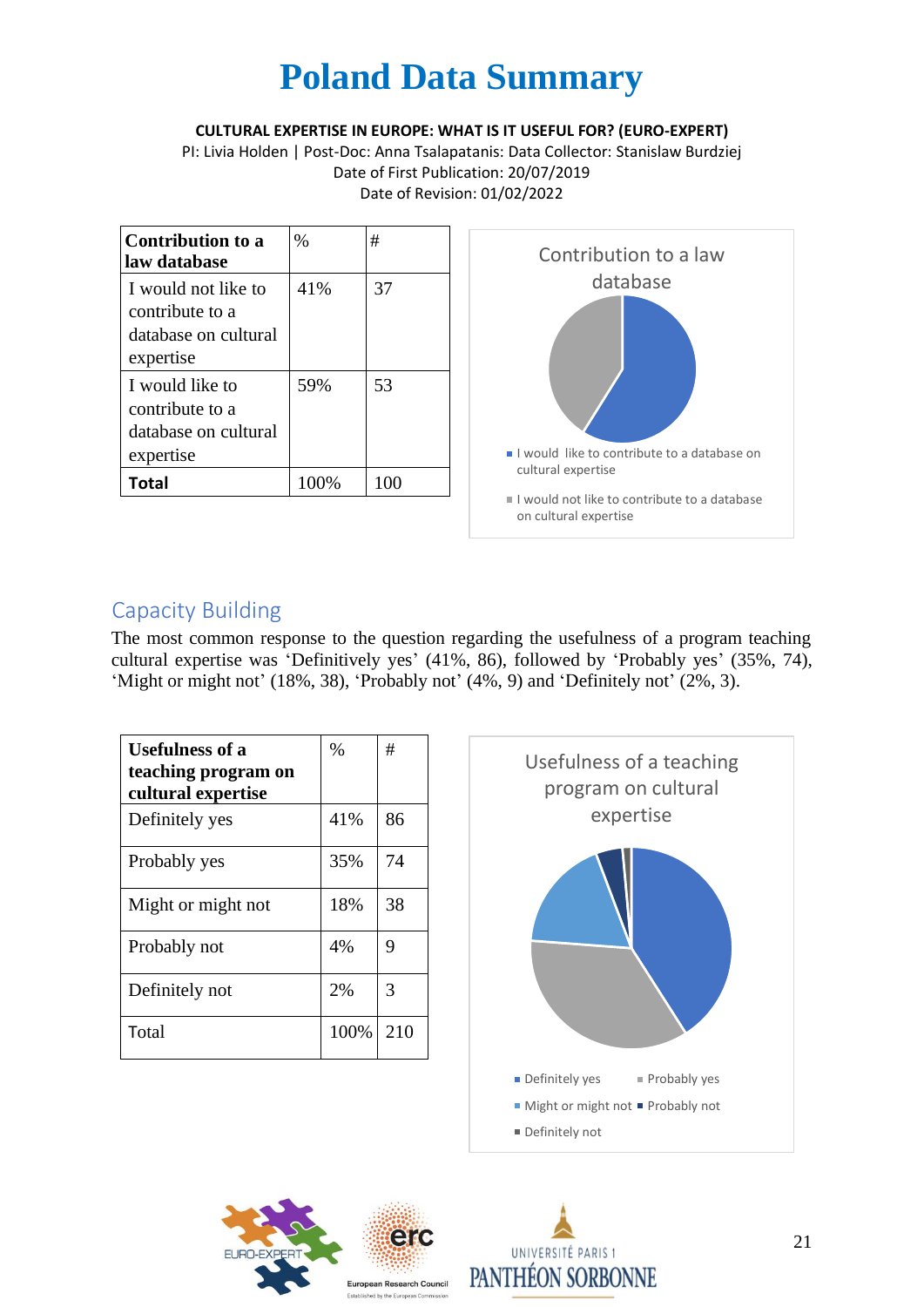**CULTURAL EXPERTISE IN EUROPE: WHAT IS IT USEFUL FOR? (EURO-EXPERT)**

PI: Livia Holden | Post-Doc: Anna Tsalapatanis: Data Collector: Stanislaw Burdziej Date of First Publication: 20/07/2019 Date of Revision: 01/02/2022

| <b>Contribution to a</b><br>law database                                    | $\%$ | #   | Contribution to a law                                                 |
|-----------------------------------------------------------------------------|------|-----|-----------------------------------------------------------------------|
| I would not like to<br>contribute to a<br>database on cultural<br>expertise | 41%  | 37  | database                                                              |
| I would like to<br>contribute to a<br>database on cultural<br>expertise     | 59%  | 53  | I would like to contribute to a database on                           |
| <b>Total</b>                                                                | 100% | 100 | cultural expertise                                                    |
|                                                                             |      |     | I would not like to contribute to a database<br>on cultural expertise |

### Capacity Building

The most common response to the question regarding the usefulness of a program teaching cultural expertise was 'Definitively yes' (41%, 86), followed by 'Probably yes' (35%, 74), 'Might or might not' (18%, 38), 'Probably not' (4%, 9) and 'Definitely not' (2%, 3).

| <b>Usefulness of a</b><br>teaching program on<br>cultural expertise | $\%$ | #   |
|---------------------------------------------------------------------|------|-----|
| Definitely yes                                                      | 41%  | 86  |
| Probably yes                                                        | 35%  | 74  |
| Might or might not                                                  | 18%  | 38  |
| Probably not                                                        | 4%   | 9   |
| Definitely not                                                      | 2%   | 3   |
| Total                                                               | 100% | 210 |